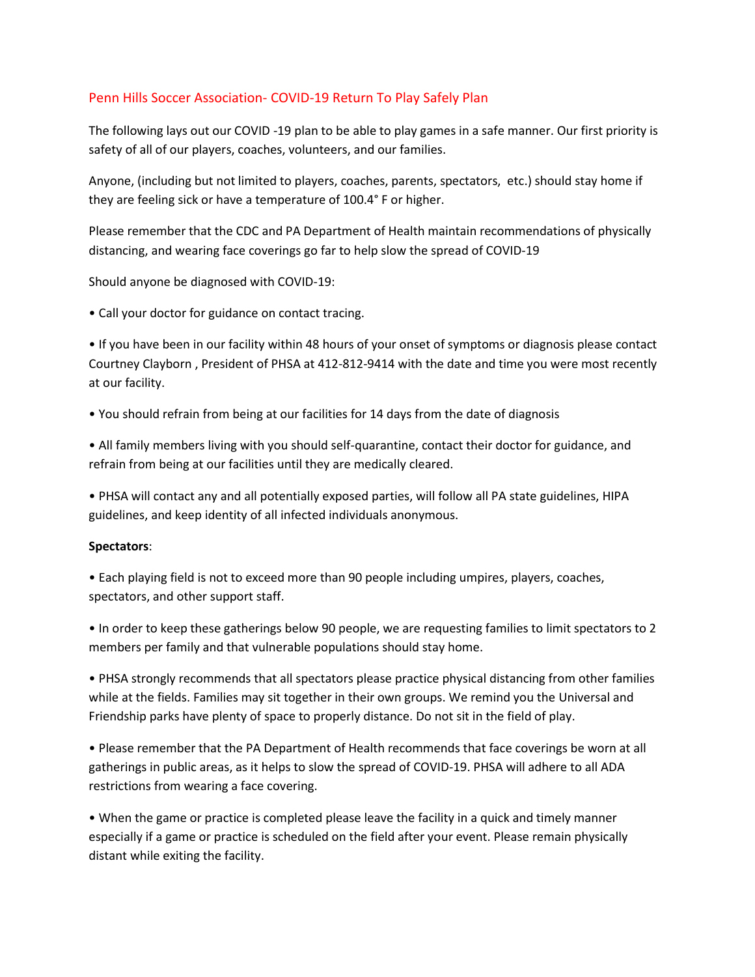# Penn Hills Soccer Association- COVID-19 Return To Play Safely Plan

The following lays out our COVID -19 plan to be able to play games in a safe manner. Our first priority is safety of all of our players, coaches, volunteers, and our families.

Anyone, (including but not limited to players, coaches, parents, spectators, etc.) should stay home if they are feeling sick or have a temperature of 100.4° F or higher.

Please remember that the CDC and PA Department of Health maintain recommendations of physically distancing, and wearing face coverings go far to help slow the spread of COVID-19

Should anyone be diagnosed with COVID-19:

• Call your doctor for guidance on contact tracing.

• If you have been in our facility within 48 hours of your onset of symptoms or diagnosis please contact Courtney Clayborn , President of PHSA at 412-812-9414 with the date and time you were most recently at our facility.

• You should refrain from being at our facilities for 14 days from the date of diagnosis

• All family members living with you should self-quarantine, contact their doctor for guidance, and refrain from being at our facilities until they are medically cleared.

• PHSA will contact any and all potentially exposed parties, will follow all PA state guidelines, HIPA guidelines, and keep identity of all infected individuals anonymous.

#### **Spectators**:

• Each playing field is not to exceed more than 90 people including umpires, players, coaches, spectators, and other support staff.

• In order to keep these gatherings below 90 people, we are requesting families to limit spectators to 2 members per family and that vulnerable populations should stay home.

• PHSA strongly recommends that all spectators please practice physical distancing from other families while at the fields. Families may sit together in their own groups. We remind you the Universal and Friendship parks have plenty of space to properly distance. Do not sit in the field of play.

• Please remember that the PA Department of Health recommends that face coverings be worn at all gatherings in public areas, as it helps to slow the spread of COVID-19. PHSA will adhere to all ADA restrictions from wearing a face covering.

• When the game or practice is completed please leave the facility in a quick and timely manner especially if a game or practice is scheduled on the field after your event. Please remain physically distant while exiting the facility.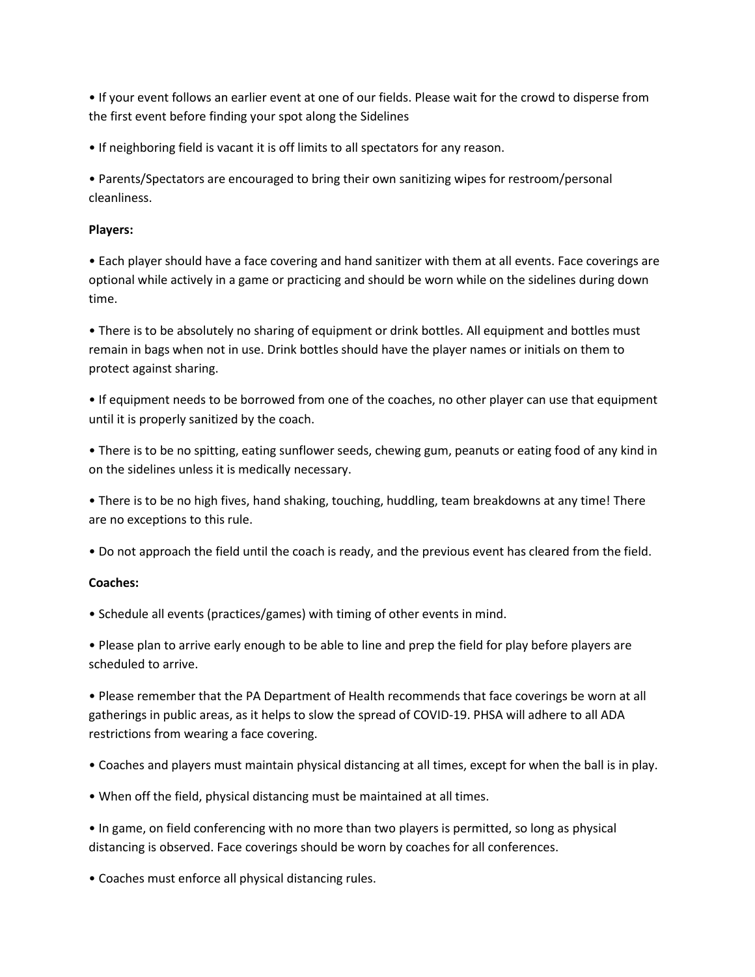• If your event follows an earlier event at one of our fields. Please wait for the crowd to disperse from the first event before finding your spot along the Sidelines

• If neighboring field is vacant it is off limits to all spectators for any reason.

• Parents/Spectators are encouraged to bring their own sanitizing wipes for restroom/personal cleanliness.

### **Players:**

• Each player should have a face covering and hand sanitizer with them at all events. Face coverings are optional while actively in a game or practicing and should be worn while on the sidelines during down time.

• There is to be absolutely no sharing of equipment or drink bottles. All equipment and bottles must remain in bags when not in use. Drink bottles should have the player names or initials on them to protect against sharing.

• If equipment needs to be borrowed from one of the coaches, no other player can use that equipment until it is properly sanitized by the coach.

• There is to be no spitting, eating sunflower seeds, chewing gum, peanuts or eating food of any kind in on the sidelines unless it is medically necessary.

• There is to be no high fives, hand shaking, touching, huddling, team breakdowns at any time! There are no exceptions to this rule.

• Do not approach the field until the coach is ready, and the previous event has cleared from the field.

## **Coaches:**

• Schedule all events (practices/games) with timing of other events in mind.

• Please plan to arrive early enough to be able to line and prep the field for play before players are scheduled to arrive.

• Please remember that the PA Department of Health recommends that face coverings be worn at all gatherings in public areas, as it helps to slow the spread of COVID-19. PHSA will adhere to all ADA restrictions from wearing a face covering.

- Coaches and players must maintain physical distancing at all times, except for when the ball is in play.
- When off the field, physical distancing must be maintained at all times.

• In game, on field conferencing with no more than two players is permitted, so long as physical distancing is observed. Face coverings should be worn by coaches for all conferences.

• Coaches must enforce all physical distancing rules.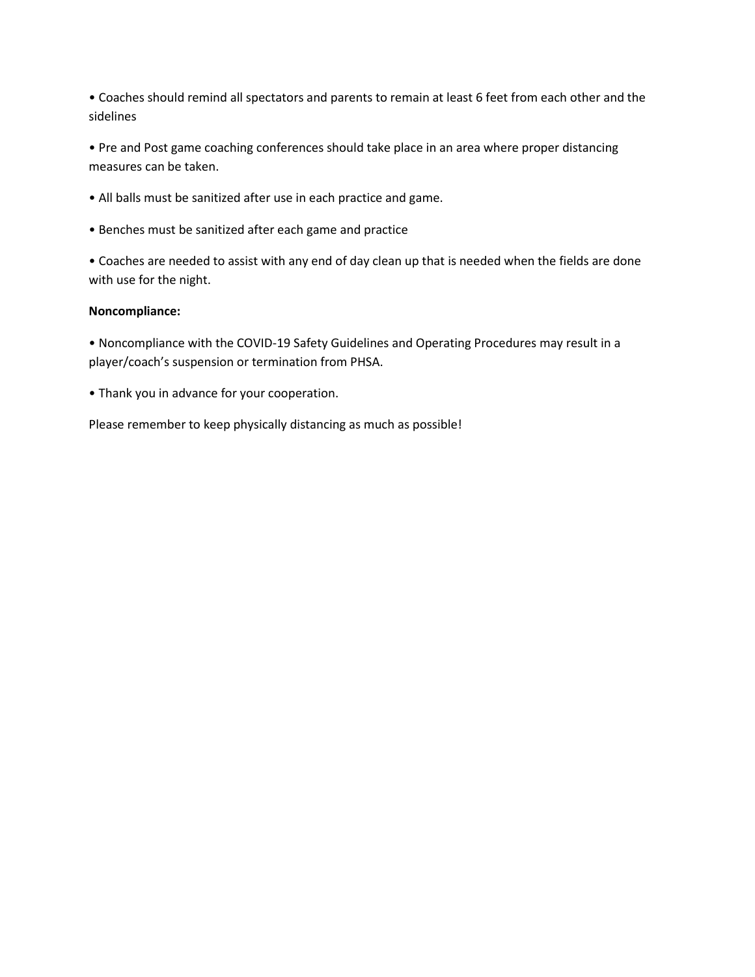• Coaches should remind all spectators and parents to remain at least 6 feet from each other and the sidelines

• Pre and Post game coaching conferences should take place in an area where proper distancing measures can be taken.

- All balls must be sanitized after use in each practice and game.
- Benches must be sanitized after each game and practice

• Coaches are needed to assist with any end of day clean up that is needed when the fields are done with use for the night.

#### **Noncompliance:**

• Noncompliance with the COVID-19 Safety Guidelines and Operating Procedures may result in a player/coach's suspension or termination from PHSA.

• Thank you in advance for your cooperation.

Please remember to keep physically distancing as much as possible!